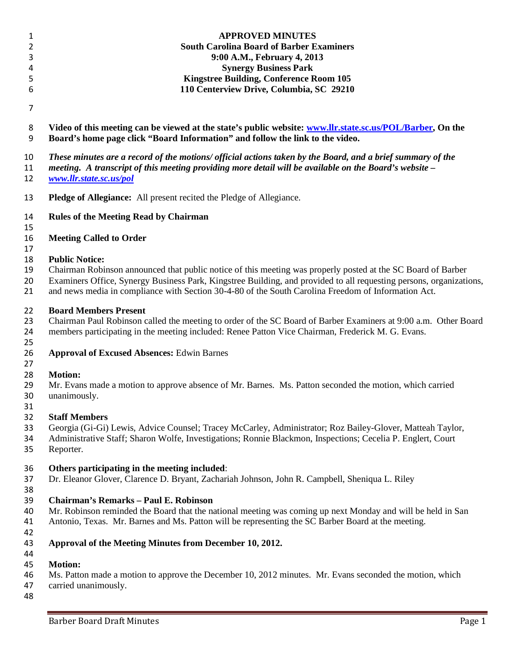|             | <b>APPROVED MINUTES</b>                                                                                       |
|-------------|---------------------------------------------------------------------------------------------------------------|
|             | <b>South Carolina Board of Barber Examiners</b>                                                               |
|             | 9:00 A.M., February 4, 2013                                                                                   |
| 4           | <b>Synergy Business Park</b>                                                                                  |
|             | <b>Kingstree Building, Conference Room 105</b>                                                                |
| 6           | 110 Centerview Drive, Columbia, SC 29210                                                                      |
|             |                                                                                                               |
| 8           | Video of this meeting can be viewed at the state's public website: www.llr.state.sc.us/POL/Barber, On the     |
| 9           | Board's home page click "Board Information" and follow the link to the video.                                 |
| $1^{\circ}$ | There interested and a ground of the most cool official antique taken by the Douglas and a build communicated |

 *These minutes are a record of the motions/ official actions taken by the Board, and a brief summary of the meeting. A transcript of this meeting providing more detail will be available on the Board's website –*

*[www.llr.state.sc.us/pol](http://www.llr.state.sc.us/pol)*

- **Pledge of Allegiance:** All present recited the Pledge of Allegiance.
- **Rules of the Meeting Read by Chairman**
- 

**Meeting Called to Order**

#### **Public Notice:**

Chairman Robinson announced that public notice of this meeting was properly posted at the SC Board of Barber

Examiners Office, Synergy Business Park, Kingstree Building, and provided to all requesting persons, organizations,

and news media in compliance with Section 30-4-80 of the South Carolina Freedom of Information Act.

## **Board Members Present**

 Chairman Paul Robinson called the meeting to order of the SC Board of Barber Examiners at 9:00 a.m. Other Board members participating in the meeting included: Renee Patton Vice Chairman, Frederick M. G. Evans.

**Approval of Excused Absences:** Edwin Barnes

### **Motion:**

- 29 Mr. Evans made a motion to approve absence of Mr. Barnes. Ms. Patton seconded the motion, which carried unanimously. unanimously.
- 

### **Staff Members**

Georgia (Gi-Gi) Lewis, Advice Counsel; Tracey McCarley, Administrator; Roz Bailey-Glover, Matteah Taylor,

- Administrative Staff; Sharon Wolfe, Investigations; Ronnie Blackmon, Inspections; Cecelia P. Englert, Court
- Reporter.

## **Others participating in the meeting included**:

- Dr. Eleanor Glover, Clarence D. Bryant, Zachariah Johnson, John R. Campbell, Sheniqua L. Riley
- 

# **Chairman's Remarks – Paul E. Robinson**

- Mr. Robinson reminded the Board that the national meeting was coming up next Monday and will be held in San Antonio, Texas. Mr. Barnes and Ms. Patton will be representing the SC Barber Board at the meeting.
- 

#### **Approval of the Meeting Minutes from December 10, 2012.**

### **Motion:**

Ms. Patton made a motion to approve the December 10, 2012 minutes. Mr. Evans seconded the motion, which

- carried unanimously.
-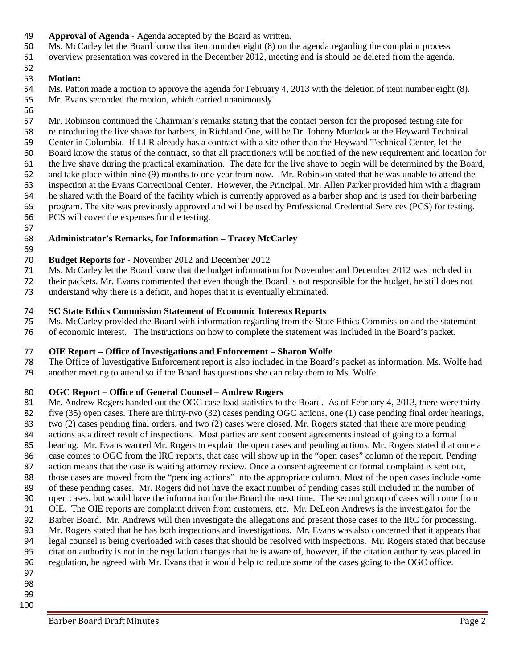- **Approval of Agenda -** Agenda accepted by the Board as written.
- Ms. McCarley let the Board know that item number eight (8) on the agenda regarding the complaint process
- overview presentation was covered in the December 2012, meeting and is should be deleted from the agenda.

#### **Motion:**

 Ms. Patton made a motion to approve the agenda for February 4, 2013 with the deletion of item number eight (8). Mr. Evans seconded the motion, which carried unanimously.

56<br>57

Mr. Robinson continued the Chairman's remarks stating that the contact person for the proposed testing site for reintroducing the live shave for barbers, in Richland One, will be Dr. Johnny Murdock at the Heyward Technical Center in Columbia. If LLR already has a contract with a site other than the Heyward Technical Center, let the Board know the status of the contract, so that all practitioners will be notified of the new requirement and location for the live shave during the practical examination. The date for the live shave to begin will be determined by the Board, and take place within nine (9) months to one year from now. Mr. Robinson stated that he was unable to attend the inspection at the Evans Correctional Center. However, the Principal, Mr. Allen Parker provided him with a diagram he shared with the Board of the facility which is currently approved as a barber shop and is used for their barbering program. The site was previously approved and will be used by Professional Credential Services (PCS) for testing. PCS will cover the expenses for the testing.

### **Administrator's Remarks, for Information – Tracey McCarley**

# 69<br>70

### **Budget Reports for -** November 2012 and December 2012

- Ms. McCarley let the Board know that the budget information for November and December 2012 was included in
- their packets. Mr. Evans commented that even though the Board is not responsible for the budget, he still does not
- understand why there is a deficit, and hopes that it is eventually eliminated.

### **SC State Ethics Commission Statement of Economic Interests Reports**

- Ms. McCarley provided the Board with information regarding from the State Ethics Commission and the statement
- of economic interest. The instructions on how to complete the statement was included in the Board's packet.

# **OIE Report – Office of Investigations and Enforcement – Sharon Wolfe**

- The Office of Investigative Enforcement report is also included in the Board's packet as information. Ms. Wolfe had
- another meeting to attend so if the Board has questions she can relay them to Ms. Wolfe.

## **OGC Report – Office of General Counsel – Andrew Rogers**

81 Mr. Andrew Rogers handed out the OGC case load statistics to the Board. As of February 4, 2013, there were thirty- five (35) open cases. There are thirty-two (32) cases pending OGC actions, one (1) case pending final order hearings, two (2) cases pending final orders, and two (2) cases were closed. Mr. Rogers stated that there are more pending 84 actions as a direct result of inspections. Most parties are sent consent agreements instead of going to a formal<br>85 hearing. Mr. Evans wanted Mr. Rogers to explain the open cases and pending actions. Mr. Rogers stated t hearing. Mr. Evans wanted Mr. Rogers to explain the open cases and pending actions. Mr. Rogers stated that once a case comes to OGC from the IRC reports, that case will show up in the "open cases" column of the report. Pending action means that the case is waiting attorney review. Once a consent agreement or formal complaint is sent out, those cases are moved from the "pending actions" into the appropriate column. Most of the open cases include some of these pending cases. Mr. Rogers did not have the exact number of pending cases still included in the number of open cases, but would have the information for the Board the next time. The second group of cases will come from OIE. The OIE reports are complaint driven from customers, etc. Mr. DeLeon Andrews is the investigator for the 92 Barber Board. Mr. Andrews will then investigate the allegations and present those cases to the IRC for processing. Mr. Rogers stated that he has both inspections and investigations. Mr. Evans was also concerned that it appears that legal counsel is being overloaded with cases that should be resolved with inspections. Mr. Rogers stated that because citation authority is not in the regulation changes that he is aware of, however, if the citation authority was placed in regulation, he agreed with Mr. Evans that it would help to reduce some of the cases going to the OGC office.

- 
- 
-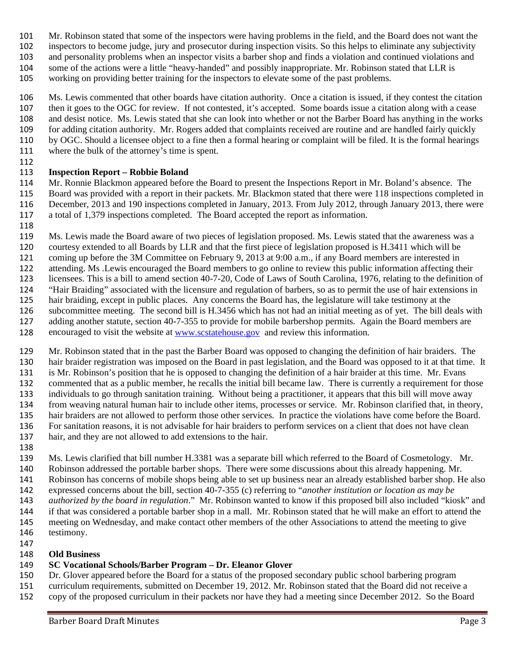- Mr. Robinson stated that some of the inspectors were having problems in the field, and the Board does not want the
- inspectors to become judge, jury and prosecutor during inspection visits. So this helps to eliminate any subjectivity
- and personality problems when an inspector visits a barber shop and finds a violation and continued violations and
- some of the actions were a little "heavy-handed" and possibly inappropriate. Mr. Robinson stated that LLR is
- working on providing better training for the inspectors to elevate some of the past problems.

 Ms. Lewis commented that other boards have citation authority. Once a citation is issued, if they contest the citation then it goes to the OGC for review. If not contested, it's accepted. Some boards issue a citation along with a cease and desist notice. Ms. Lewis stated that she can look into whether or not the Barber Board has anything in the works for adding citation authority. Mr. Rogers added that complaints received are routine and are handled fairly quickly by OGC. Should a licensee object to a fine then a formal hearing or complaint will be filed. It is the formal hearings where the bulk of the attorney's time is spent.

## **Inspection Report – Robbie Boland**

 Mr. Ronnie Blackmon appeared before the Board to present the Inspections Report in Mr. Boland's absence. The Board was provided with a report in their packets. Mr. Blackmon stated that there were 118 inspections completed in December, 2013 and 190 inspections completed in January, 2013. From July 2012, through January 2013, there were a total of 1,379 inspections completed. The Board accepted the report as information.

- 
- Ms. Lewis made the Board aware of two pieces of legislation proposed. Ms. Lewis stated that the awareness was a courtesy extended to all Boards by LLR and that the first piece of legislation proposed is H.3411 which will be
- coming up before the 3M Committee on February 9, 2013 at 9:00 a.m., if any Board members are interested in
- attending. Ms .Lewis encouraged the Board members to go online to review this public information affecting their
- licensees. This is a bill to amend section 40-7-20, Code of Laws of South Carolina, 1976, relating to the definition of
- "Hair Braiding" associated with the licensure and regulation of barbers, so as to permit the use of hair extensions in
- hair braiding, except in public places. Any concerns the Board has, the legislature will take testimony at the
- subcommittee meeting. The second bill is H.3456 which has not had an initial meeting as of yet. The bill deals with
- adding another statute, section 40-7-355 to provide for mobile barbershop permits. Again the Board members are
- encouraged to visit the website at [www.scstatehouse.gov](http://www.scstatehouse.gov/) and review this information.
- Mr. Robinson stated that in the past the Barber Board was opposed to changing the definition of hair braiders. The hair braider registration was imposed on the Board in past legislation, and the Board was opposed to it at that time. It is Mr. Robinson's position that he is opposed to changing the definition of a hair braider at this time. Mr. Evans commented that as a public member, he recalls the initial bill became law. There is currently a requirement for those individuals to go through sanitation training. Without being a practitioner, it appears that this bill will move away from weaving natural human hair to include other items, processes or service. Mr. Robinson clarified that, in theory, hair braiders are not allowed to perform those other services. In practice the violations have come before the Board. For sanitation reasons, it is not advisable for hair braiders to perform services on a client that does not have clean hair, and they are not allowed to add extensions to the hair.
- 

Ms. Lewis clarified that bill number H.3381 was a separate bill which referred to the Board of Cosmetology. Mr.

Robinson addressed the portable barber shops. There were some discussions about this already happening. Mr.

- Robinson has concerns of mobile shops being able to set up business near an already established barber shop. He also expressed concerns about the bill, section 40-7-355 (c) referring to "*another institution or location as may be*
- *authorized by the board in regulation*." Mr. Robinson wanted to know if this proposed bill also included "kiosk" and if that was considered a portable barber shop in a mall. Mr. Robinson stated that he will make an effort to attend the meeting on Wednesday, and make contact other members of the other Associations to attend the meeting to give testimony.
- 

# **Old Business**

# **SC Vocational Schools/Barber Program – Dr. Eleanor Glover**

- Dr. Glover appeared before the Board for a status of the proposed secondary public school barbering program
- curriculum requirements, submitted on December 19, 2012. Mr. Robinson stated that the Board did not receive a
- copy of the proposed curriculum in their packets nor have they had a meeting since December 2012. So the Board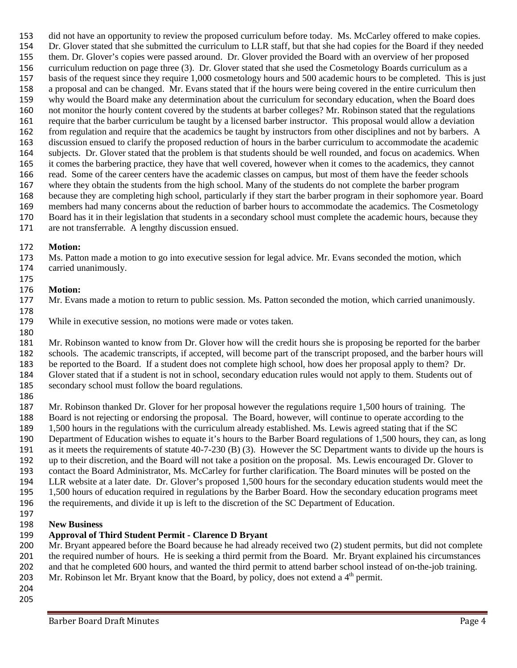did not have an opportunity to review the proposed curriculum before today. Ms. McCarley offered to make copies. Dr. Glover stated that she submitted the curriculum to LLR staff, but that she had copies for the Board if they needed them. Dr. Glover's copies were passed around. Dr. Glover provided the Board with an overview of her proposed curriculum reduction on page three (3). Dr. Glover stated that she used the Cosmetology Boards curriculum as a basis of the request since they require 1,000 cosmetology hours and 500 academic hours to be completed. This is just a proposal and can be changed. Mr. Evans stated that if the hours were being covered in the entire curriculum then why would the Board make any determination about the curriculum for secondary education, when the Board does not monitor the hourly content covered by the students at barber colleges? Mr. Robinson stated that the regulations require that the barber curriculum be taught by a licensed barber instructor. This proposal would allow a deviation from regulation and require that the academics be taught by instructors from other disciplines and not by barbers. A discussion ensued to clarify the proposed reduction of hours in the barber curriculum to accommodate the academic subjects. Dr. Glover stated that the problem is that students should be well rounded, and focus on academics. When it comes the barbering practice, they have that well covered, however when it comes to the academics, they cannot read. Some of the career centers have the academic classes on campus, but most of them have the feeder schools where they obtain the students from the high school. Many of the students do not complete the barber program because they are completing high school, particularly if they start the barber program in their sophomore year. Board members had many concerns about the reduction of barber hours to accommodate the academics. The Cosmetology Board has it in their legislation that students in a secondary school must complete the academic hours, because they are not transferrable. A lengthy discussion ensued.

#### **Motion:**

 Ms. Patton made a motion to go into executive session for legal advice. Mr. Evans seconded the motion, which carried unanimously.

#### **Motion:**

#### Mr. Evans made a motion to return to public session. Ms. Patton seconded the motion, which carried unanimously.

While in executive session, no motions were made or votes taken.

 Mr. Robinson wanted to know from Dr. Glover how will the credit hours she is proposing be reported for the barber schools. The academic transcripts, if accepted, will become part of the transcript proposed, and the barber hours will be reported to the Board. If a student does not complete high school, how does her proposal apply to them? Dr. Glover stated that if a student is not in school, secondary education rules would not apply to them. Students out of secondary school must follow the board regulations.

 Mr. Robinson thanked Dr. Glover for her proposal however the regulations require 1,500 hours of training. The Board is not rejecting or endorsing the proposal. The Board, however, will continue to operate according to the 1,500 hours in the regulations with the curriculum already established. Ms. Lewis agreed stating that if the SC Department of Education wishes to equate it's hours to the Barber Board regulations of 1,500 hours, they can, as long as it meets the requirements of statute 40-7-230 (B) (3). However the SC Department wants to divide up the hours is up to their discretion, and the Board will not take a position on the proposal. Ms. Lewis encouraged Dr. Glover to contact the Board Administrator, Ms. McCarley for further clarification. The Board minutes will be posted on the LLR website at a later date. Dr. Glover's proposed 1,500 hours for the secondary education students would meet the 1,500 hours of education required in regulations by the Barber Board. How the secondary education programs meet the requirements, and divide it up is left to the discretion of the SC Department of Education.

#### **New Business**

#### **Approval of Third Student Permit - Clarence D Bryant**

 Mr. Bryant appeared before the Board because he had already received two (2) student permits, but did not complete the required number of hours. He is seeking a third permit from the Board. Mr. Bryant explained his circumstances and that he completed 600 hours, and wanted the third permit to attend barber school instead of on-the-job training.

- 203 Mr. Robinson let Mr. Bryant know that the Board, by policy, does not extend a  $4<sup>th</sup>$  permit.
-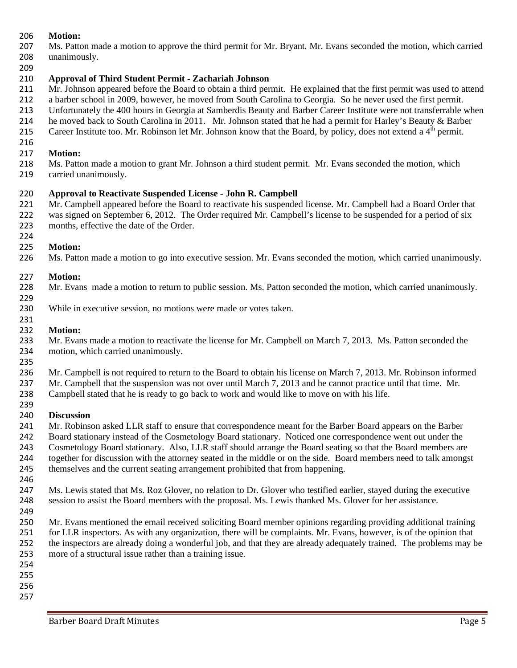#### **Motion:**

- Ms. Patton made a motion to approve the third permit for Mr. Bryant. Mr. Evans seconded the motion, which carried unanimously.
- 

#### **Approval of Third Student Permit - Zachariah Johnson**

- Mr. Johnson appeared before the Board to obtain a third permit. He explained that the first permit was used to attend
- a barber school in 2009, however, he moved from South Carolina to Georgia. So he never used the first permit.
- Unfortunately the 400 hours in Georgia at Samberdis Beauty and Barber Career Institute were not transferrable when
- 214 he moved back to South Carolina in 2011. Mr. Johnson stated that he had a permit for Harley's Beauty & Barber
- 215 Career Institute too. Mr. Robinson let Mr. Johnson know that the Board, by policy, does not extend a  $4<sup>th</sup>$  permit.

#### **Motion:**

 Ms. Patton made a motion to grant Mr. Johnson a third student permit. Mr. Evans seconded the motion, which carried unanimously.

## **Approval to Reactivate Suspended License - John R. Campbell**

 Mr. Campbell appeared before the Board to reactivate his suspended license. Mr. Campbell had a Board Order that was signed on September 6, 2012. The Order required Mr. Campbell's license to be suspended for a period of six months, effective the date of the Order.

#### **Motion:**

Ms. Patton made a motion to go into executive session. Mr. Evans seconded the motion, which carried unanimously.

### **Motion:**

- 228 Mr. Evans made a motion to return to public session. Ms. Patton seconded the motion, which carried unanimously.
- While in executive session, no motions were made or votes taken.

#### **Motion:**

- 233 Mr. Evans made a motion to reactivate the license for Mr. Campbell on March 7, 2013. Ms. Patton seconded the motion, which carried unanimously.
- 

Mr. Campbell is not required to return to the Board to obtain his license on March 7, 2013. Mr. Robinson informed

Mr. Campbell that the suspension was not over until March 7, 2013 and he cannot practice until that time. Mr.

 Campbell stated that he is ready to go back to work and would like to move on with his life. 

## **Discussion**

- Mr. Robinson asked LLR staff to ensure that correspondence meant for the Barber Board appears on the Barber
- Board stationary instead of the Cosmetology Board stationary. Noticed one correspondence went out under the
- Cosmetology Board stationary. Also, LLR staff should arrange the Board seating so that the Board members are
- together for discussion with the attorney seated in the middle or on the side. Board members need to talk amongst
- 
- themselves and the current seating arrangement prohibited that from happening.
- Ms. Lewis stated that Ms. Roz Glover, no relation to Dr. Glover who testified earlier, stayed during the executive session to assist the Board members with the proposal. Ms. Lewis thanked Ms. Glover for her assistance.
- Mr. Evans mentioned the email received soliciting Board member opinions regarding providing additional training for LLR inspectors. As with any organization, there will be complaints. Mr. Evans, however, is of the opinion that the inspectors are already doing a wonderful job, and that they are already adequately trained. The problems may be more of a structural issue rather than a training issue.
- 
- 
-